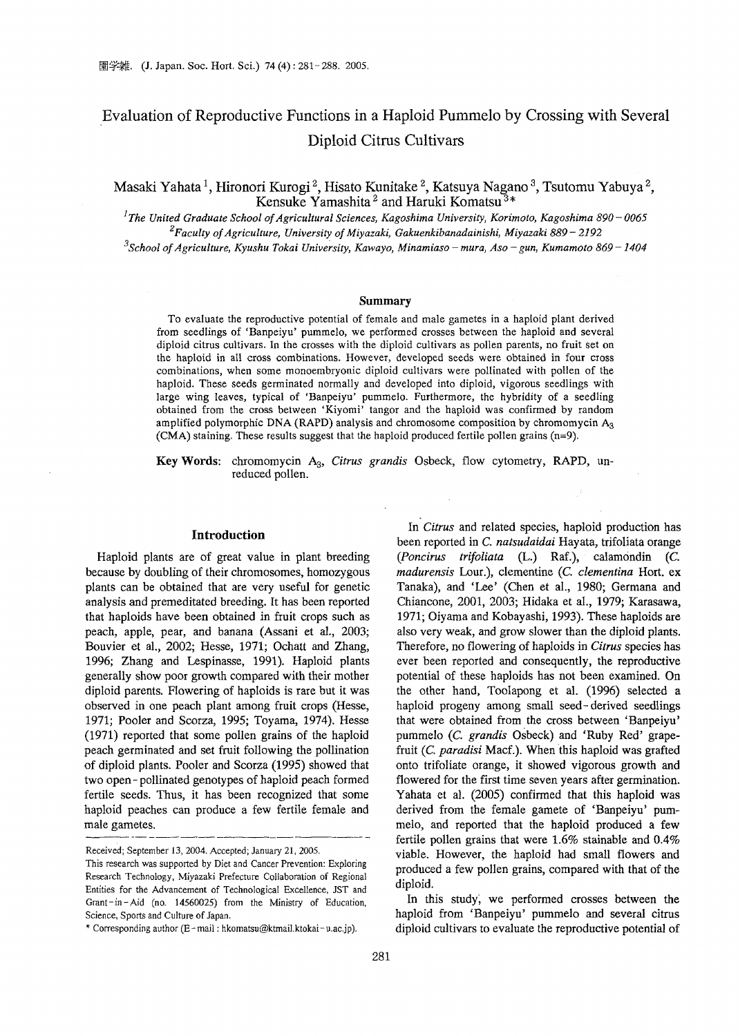# Evaluation of Reproductive Functions in a Haploid Pummelo by Crossing with Several Diploid Citrus Cultivars

Masaki Yahata<sup>1</sup>, Hironori Kurogi<sup>2</sup>, Hisato Kunitake<sup>2</sup>, Katsuya Nagano<sup>3</sup>, Tsutomu Yabuya<sup>2</sup>, Kensuke Yamashita<sup>2</sup> and Haruki Komatsu<sup>3\*</sup>

<sup>1</sup>*The United Graduate School ofAgricultural Sciences, Kagoshima University, Korimoto, Kagoshima 890* - *0065 2Faculty ofAgriculture, University ofMiyazaki, Gakuenkibanadainishi, Miyazaki* 889 - 2192 *"School ofAgriculture, Kyushu Tokai University, Kawayo, Minamiaso* - *mura, Aso* - *gun, Kumamoto* 869 *-1404*

#### **Summary**

To evaluate the reproductive potential of female and male gametes in a haploid plant derived from seedlings of 'Banpeiyu' pummelo, we performed crosses between the haploid and several diploid citrus cultivars. In the crosses with the diploid cultivars as pollen parents, no fruit set on the haploid in all cross combinations. However, developed seeds were obtained in four cross combinations, when some monoembryonic diploid cultivars were pollinated with pollen of the haploid. These seeds germinated normally and developed into diploid, vigorous seedlings with large wing leaves, typical of 'Banpeiyu' pummelo. Furthermore, the hybridity of a seedling obtained from the cross between 'Kiyomi' tangor and the haploid was confirmed by random amplified polymorphic DNA (RAPD) analysis and chromosome composition by chromomycin A<sub>3</sub> (CMA) staining. These results suggest that the haploid produced fertile pollen grains (n=9).

Key Words: chromomycin A3, *Citrus grandis* Osbeck, flow cytometry, RAPD, unreduced pollen.

#### **Introduction**

Haploid plants are of great value in plant breeding because by doubling of their chromosomes, homozygous plants can be obtained that are very useful for genetic analysis and premeditated breeding. It has been reported that haploids have been obtained in fruit crops such as peach, apple, pear, and banana (Assani et al., 2003; Bouvier et aI., 2002; Hesse, 1971; Ochatt and Zhang, 1996; Zhang and Lespinasse, 1991). Haploid plants generally show poor growth compared with their mother diploid parents. Flowering of haploids is rare but it was observed in one peach plant among fruit crops (Hesse, 1971; Pooler and Scorza, 1995; Toyama, 1974). Hesse (1971) reported that some pollen grains of the haploid peach germinated and set fruit following the pollination of diploid plants. Pooler and Scorza (1995) showed that two open - pollinated genotypes of haploid peach formed fertile seeds. Thus, it has been recognized that some haploid peaches can produce a few fertile female and male gametes.

Tanaka), and 'Lee' (Chen et aI., 1980; Germana and Chiancone, 2001, 2003; Hidaka et aI., 1979; Karasawa, 1971; Oiyama and Kobayashi, 1993). These haploids are also very weak, and grow slower than the diploid plants. Therefore, no flowering of haploids in *Citrus* species has ever been reported and consequently, the reproductive potential of these haploids has not been examined. On the other hand, Toolapong et al. (1996) selected a haploid progeny among small seed-derived seedlings that were obtained from the cross between 'Banpeiyu' pummelo (c. *grandis* Osbeck) and 'Ruby Red' grapefruit (c. *paradisi* Macf.). When this haploid was grafted onto trifoliate orange, it showed vigorous growth and flowered for the first time seven years after germination. Yahata et aI. (2005) confirmed that this haploid was derived from the female gamete of 'Banpeiyu' pummelo, and reported that the haploid produced a few fertile pollen grains that were 1.6% stainable and 0.4% viable. However, the haploid had small flowers and produced a few pollen grains, compared with that of the diploid. In this study; we performed crosses between the

In *Citrus* and related species, haploid production has been reported in C. *natsudaidai* Hayata, trifoliata orange *(Poncirus trifoliata* (L.) Raf.), calamondin (c. *madurensis* Lour.), clementine (c. *clementina* Hort. ex

haploid from 'Banpeiyu' pummelo and several citrus diploid cultivars to evaluate the reproductive potential of

Received; September 13, 2004. Accepted; January 21, 2005.

This research was supported by Diet and Cancer Prevention: Exploring Research Technology, Miyazaki Prefecture Collaboration of Regional Entities for the Advancement of Technological Excellence, 1ST and Grant-in-Aid (no. 14560025) from the Ministry of Education, Science, Sports and Culture of Japan.

<sup>\*</sup> Corresponding author (E-mail: hkomatsu@ktmaiJ.ktokai-u.ac.jp).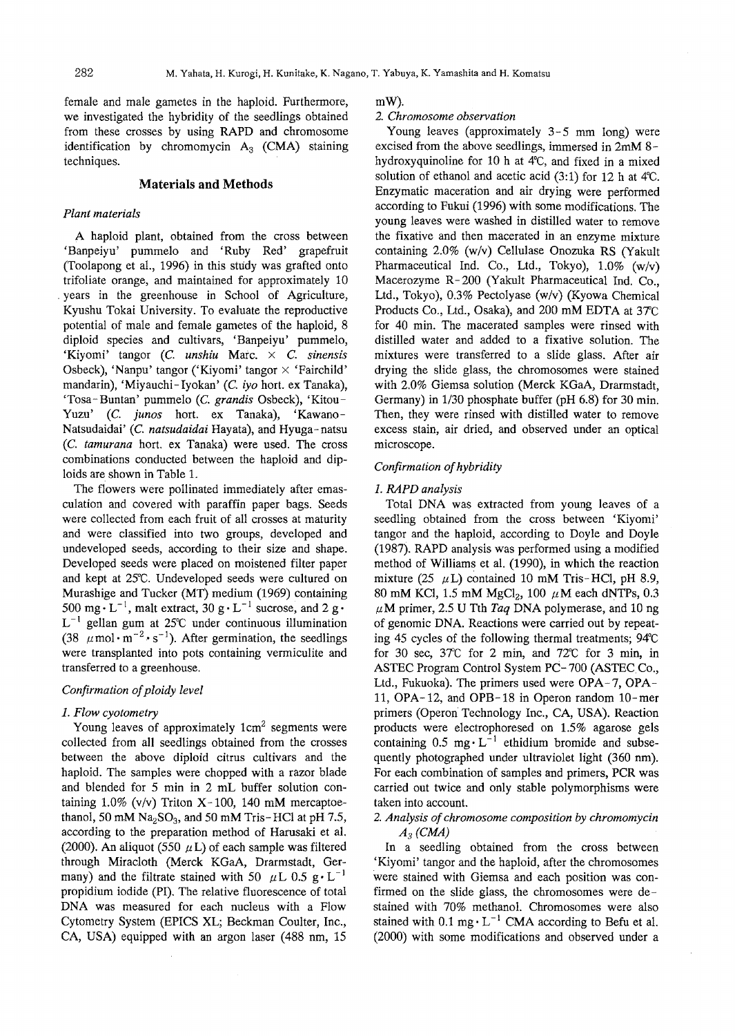female and male gametes in the haploid. Furthermore, we investigated the hybridity of the seedlings obtained from these crosses by using RAPD and chromosome identification by chromomycin  $A_3$  (CMA) staining techniques.

# **Materials and Methods**

#### *Plant materials*

A haploid plant, obtained from the cross between 'Banpeiyu' pummelo and 'Ruby Red' grapefruit (Toolapong et aI., 1996) in this study was grafted onto trifoliate orange, and maintained for approximately 10 . years in the greenhouse in School of Agriculture, Kyushu Tokai University. To evaluate the reproductive potential of male and female gametes of the haploid, 8 diploid species and cultivars, 'Banpeiyu' pummelo, 'Kiyomi' tangor (c. *unshiu* Marc. x C. *sinensis* Osbeck), 'Nanpu' tangor ('Kiyomi' tangor  $\times$  'Fairchild' mandarin), 'Miyauchi-Iyokan' (C. *iyo* hort. ex Tanaka), 'Tosa- Buntan' pummelo (c. *grandis* Osbeck), 'Kitou-Yuzu' (c. *junos* hort. ex Tanaka), 'Kawano-Natsudaidai' (c. *natsudaidai* Hayata), and Hyuga-natsu (c. *tamurana* hort. ex Tanaka) were used. The cross combinations conducted between the haploid and diploids are shown in Table 1.

The flowers were pollinated immediately after emasculation and covered with paraffin paper bags. Seeds were collected from each fruit of all crosses at maturity and were classified into two groups, developed and undeveloped seeds, according to their size and shape. Developed seeds were placed on moistened filter paper and kept at 25°C. Undeveloped seeds were cultured on Murashige and Tucker (MT) medium (1969) containing 500 mg $\cdot$  L<sup>-1</sup>, malt extract, 30 g $\cdot$  L<sup>-1</sup> sucrose, and 2 g $\cdot$  $L^{-1}$  gellan gum at 25°C under continuous illumination (38  $\mu$  mol·m<sup>-2</sup>·s<sup>-1</sup>). After germination, the seedlings were transplanted into pots containing vermiculite and transferred to a greenhouse.

#### *Confirmation of ploidy level*

#### 1. *Flow cyotometry*

Young leaves of approximately  $1 \text{cm}^2$  segments were collected from all seedlings obtained from the crosses between the above diploid citrus cultivars and the haploid. The samples were chopped with a razor blade and blended for 5 min in 2 mL buffer solution containing  $1.0\%$  (v/v) Triton X-100, 140 mM mercaptoethanol, 50 mM  $Na<sub>2</sub>SO<sub>3</sub>$ , and 50 mM Tris-HCl at pH 7.5, according to the preparation method of Harusaki et a1. (2000). An aliquot (550  $\mu$ L) of each sample was filtered through Miracloth (Merck KGaA, Drarmstadt, Germany) and the filtrate stained with 50  $\mu$ L 0.5 g $\cdot$  L<sup>-1</sup> propidium iodide (PI). The relative fluorescence of total DNA was measured for each nucleus with a Flow Cytometry System (EPICS XL; Beckman Coulter, Inc., CA, USA) equipped with an argon laser (488 nm, 15

mW).

#### *2. Chromosome observation*

Young leaves (approximately 3-5 mm long) were excised from the above seedlings, immersed in 2mM 8 hydroxyquinoline for 10 h at  $4^{\circ}$ C, and fixed in a mixed solution of ethanol and acetic acid  $(3:1)$  for 12 h at 4°C. Enzymatic maceration and air drying were performed according to Fukui (1996) with some modifications. The young leaves were washed in distilled water to remove the fixative and then macerated in an enzyme mixture containing 2.0% (w/v) Cellulase Onozuka RS (Yakult Pharmaceutical Ind. Co., Ltd., Tokyo), 1.0% (w/v) Macerozyme R- 200 (Yakult Pharmaceutical Ind. Co., Ltd., Tokyo), 0.3% Pectolyase (w/v) (Kyowa Chemical Products Co., Ltd., Osaka), and 200 mM EDTA at 37°C for 40 min. The macerated samples were rinsed with distilled water and added to a fixative solution. The mixtures were transferred to a slide glass. After air drying the slide glass, the chromosomes were stained with 2.0% Giemsa solutiop (Merck KGaA, Drarmstadt, Germany) in 1/30 phosphate buffer (pH 6.8) for 30 min. Then, they were rinsed with distilled water to remove excess stain, air dried, and observed under an optical microscope.

#### *Confirmation ofhybridity*

### *1. RAPD analysis*

Total DNA was extracted from young leaves of a seedling obtained from the cross between 'Kiyomi' tangor and the haploid, according to Doyle and Doyle (1987). RAPD analysis was performed using a modified method of Williams et al. (1990), in which the reaction mixture (25  $\mu$ L) contained 10 mM Tris-HCl, pH 8.9, 80 mM KCl, 1.5 mM MgCl<sub>2</sub>, 100  $\mu$ M each dNTPs, 0.3  $\mu$ M primer, 2.5 U Tth *Taq* DNA polymerase, and 10 ng of genomic DNA. Reactions were carried out by repeating 45 cycles of the following thermal treatments;  $94^{\circ}$ C for 30 sec, 37°C for 2 min, and 72°C for 3 min, in ASTEC Program Control System PC-700 (ASTEC Co., Ltd., Fukuoka). The primers used were OPA-7, OPA-11, OPA-12, and OPB-18 in Operon random lO-mer primers (Operon Technology Inc., CA, USA). Reaction products were electrophoresed on 1.5% agarose gels containing  $0.5 \text{ mg} \cdot L^{-1}$  ethidium bromide and subsequently photographed under ultraviolet light (360 nm). For each combination of samples and primers, PCR was carried out twice and only stable polymorphisms were taken into account.

## *2. Analysis ofchromosome composition by chromomycin A3 (CMA)*

In a seedling obtained from the cross between 'Kiyomi' tangor and the haploid, after the chromosomes were stained with Giemsa and each position was confirmed on the slide glass, the chromosomes were destained with 70% methanol. Chromosomes were also stained with  $0.1 \text{ mg} \cdot L^{-1}$  CMA according to Befu et al. (2000) with some modifications and observed under a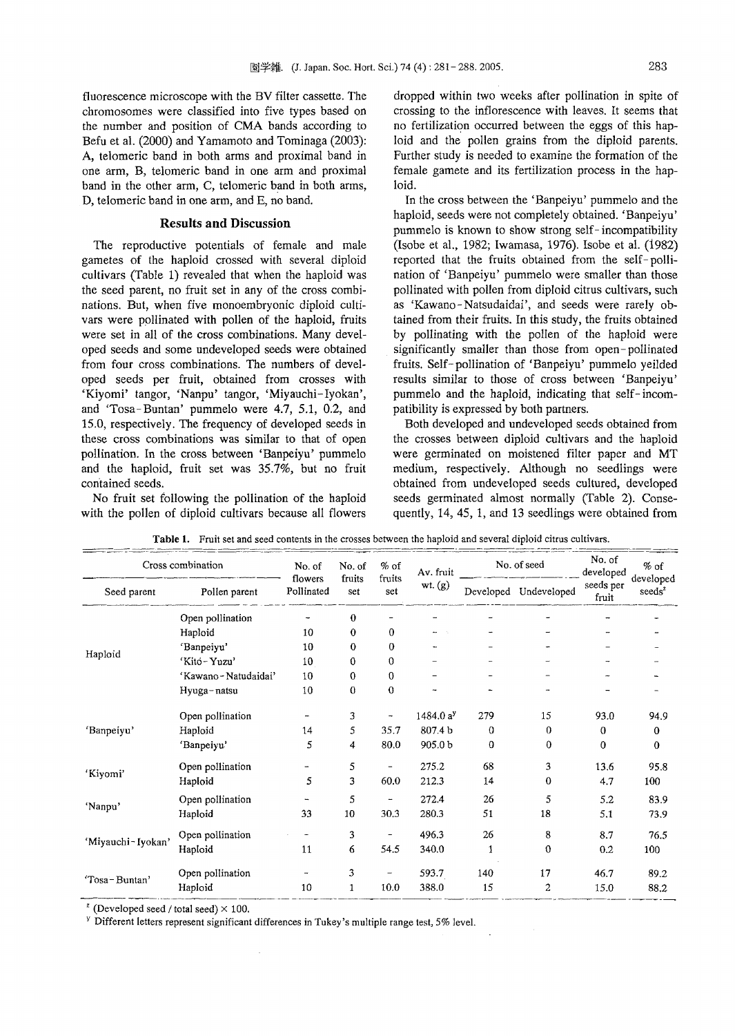fluorescence microscope with the BV filter cassette. The chromosomes were classified into five types based on the number and position of CMA bands according to Befu et al. (2000) and Yamamoto and Tominaga (2003): A, telomeric band in both arms and proximal band in one arm, B, telomeric band in one arm and proximal band in the other arm, C, telomeric band in both arms, D, telomeric band in one arm, and E, no band.

# **Results and Discussion**

The reproductive potentials of female and male gametes of the haploid crossed with several diploid cultivars (Table 1) revealed that when the haploid was the seed parent, no fruit set in any of the cross combinations. But, when five monoembryonic diploid cultivars were pollinated with pollen of the haploid, fruits were set in all of the cross combinations. Many developed seeds and some undeveloped seeds were obtained from four cross combinations. The numbers of developed seeds per fruit, obtained from crosses with 'Kiyomi' tangor, 'Nanpu' tangor, 'Miyauchi-Iyokan', and 'Tosa- Buntan' pummelo were 4.7, 5.1, 0.2, and 15.0, respectively. The frequency of developed seeds in these cross combinations was similar to that of open pollination. In the cross between 'Banpeiyu' pummelo and the haploid, fruit set was 35.7%, but no fruit contained seeds.

No fruit set following the pollination of the haploid with the pollen of diploid cultivars because all flowers

dropped within two weeks after pollination in spite of crossing to the inflorescence with leaves. It seems that no fertilization occurred between the eggs of this haploid and the pollen grains from the diploid parents. Further study is needed to examine the formation of the female gamete and its fertilization process in the haploid.

In the cross between the 'Banpeiyu' pummelo and the haploid, seeds were not completely obtained. 'Banpeiyu' pummelo is known to show strong self-incompatibility (Isobe et al., 1982; Iwamasa, 1976). Isobe et al. (i982) reported that the fruits obtained from the self- pollination of 'Banpeiyu' pummelo were smaller than those pollinated with pollen from diploid citrus cultivars, such as 'Kawano- Natsudaidai', and seeds were rarely obtained from their fruits. In this study, the fruits obtained by pollinating with the pollen of the haploid were significantly smaller than those from open-pollinated fruits. Self-pollination of 'Banpeiyu' pummelo yeilded results similar to those of cross between 'Banpeiyu' pummelo and the haploid, indicating that self- incompatibility is expressed by both partners.

Both developed and undeveloped seeds obtained from the crosses between diploid cultivars and the haploid were germinated on moistened filter paper and MT medium, respectively. Although no seedlings were obtained from undeveloped seeds cultured, developed seeds germinated almost normally (Table 2). Consequently, 14,45, 1, and 13 seedlings were obtained from

| Cross combination |                     | No. of                | No. of        | $%$ of                       | Av. fruit          | No. of seed |                       | No. of<br>developed | $%$ of                          |
|-------------------|---------------------|-----------------------|---------------|------------------------------|--------------------|-------------|-----------------------|---------------------|---------------------------------|
| Seed parent       | Pollen parent       | flowers<br>Pollinated | fruits<br>set | fruits<br>set                | wt. $(g)$          |             | Developed Undeveloped | seeds per<br>fruit  | developed<br>$\mathrm{seeds}^2$ |
| Haploid           | Open pollination    |                       | 0             |                              |                    |             |                       |                     |                                 |
|                   | Haploid             | 10                    | 0             | $\overline{0}$               |                    |             |                       |                     |                                 |
|                   | 'Banpeiyu'          | 10                    | 0             | 0                            |                    |             |                       |                     |                                 |
|                   | 'Kito-Yuzu'         | 10                    | $\theta$      | 0                            |                    |             |                       |                     |                                 |
|                   | 'Kawano-Natudaidai' | 10                    | $\mathbf 0$   | 0                            |                    |             |                       |                     |                                 |
|                   | Hyuga-natsu         | 10                    | $\bf{0}$      | 0                            |                    |             |                       |                     |                                 |
| 'Banpeiyu'        | Open pollination    |                       | 3             |                              | 1484.0 $a^y$       | 279         | 15                    | 93.0                | 94.9                            |
|                   | Haploid             | 14                    | 5             | 35.7                         | 807.4 b            | 0           | 0                     | $\mathbf 0$         | 0                               |
|                   | 'Banpeiyu'          | 5                     | 4             | 80.0                         | 905.0 <sub>b</sub> | $\mathbf 0$ | 0                     | 0                   | $\bf{0}$                        |
| 'Kiyomi'          | Open pollination    |                       | 5             | $\qquad \qquad \blacksquare$ | 275.2              | 68          | 3                     | 13.6                | 95.8                            |
|                   | Haploid             | 5                     | 3             | 60.0                         | 212.3              | 14          | 0                     | 4.7                 | 100                             |
| 'Nanpu'           | Open pollination    |                       | 5             | $\overline{\phantom{0}}$     | 272.4              | 26          | 5                     | 5.2                 | 83.9                            |
|                   | Haploid             | 33                    | 10            | 30.3                         | 280.3              | 51          | 18                    | 5.1                 | 73.9                            |
| 'Miyauchi-Iyokan' | Open pollination    |                       | 3             | $\qquad \qquad \blacksquare$ | 496.3              | 26          | 8                     | 8.7                 | 76.5                            |
|                   | Haploid             | 11                    | 6             | 54.5                         | 340.0              | 1           | 0                     | 0.2                 | 100                             |
| 'Tosa-Buntan'     | Open pollination    |                       | 3             |                              | 593.7              | 140         | 17                    | 46.7                | 89.2                            |
|                   | Haploid             | 10                    | 1             | 10.0                         | 388.0              | 15          | 2                     | 15.0                | 88.2                            |

 $2^{\circ}$  (Developed seed / total seed)  $\times$  100.

<sup>y</sup> Different letters represent significant differences in Tukey's multiple range test, 5% level.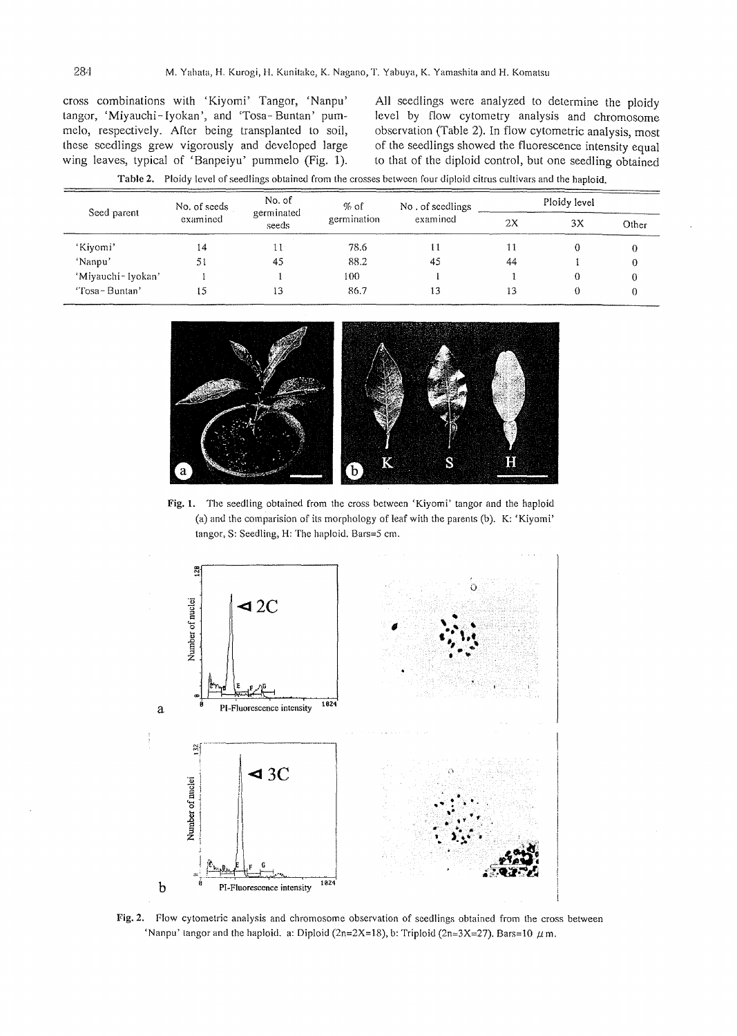cross combinations with 'Kiyomi' Tangor, 'Nanpu' tangor, 'Miyauchi-Iyokan', and 'Tosa-Buntan' pummelo, respectively. After being transplanted to soil, these seedlings grew vigorously and developed large wing leaves, typical of 'Banpeiyu' pummelo (Fig. 1). AJI seedlings were analyzed to determine the ploidy level by flow cytometry analysis and chromosome observation (Table 2). In flow cytometric analysis, most of the seedlings showed the fluorescence intensity equal to that of the diploid control, but one seedling obtained

| Table 2, Froldy level of seedings obtained from the crosses between four diploid childs cultivars and the napioid. |                          |                               |                     |                  |              |    |       |  |  |  |  |
|--------------------------------------------------------------------------------------------------------------------|--------------------------|-------------------------------|---------------------|------------------|--------------|----|-------|--|--|--|--|
| Seed parent                                                                                                        | No. of seeds<br>examined | No. of<br>germinated<br>seeds | % of<br>germination | No. of seedlings | Ploidy level |    |       |  |  |  |  |
|                                                                                                                    |                          |                               |                     | examined         | 2X           | 3X | Other |  |  |  |  |
| 'Kiyomi'                                                                                                           | 14                       |                               | 78.6                |                  |              |    |       |  |  |  |  |
| 'Nanpu'                                                                                                            | 51                       | 45                            | 88.2                | 45               | 44           |    |       |  |  |  |  |
| 'Miyauchi - Iyokan'                                                                                                |                          |                               | 100.                |                  |              |    |       |  |  |  |  |
| "Tosa-Buntan"                                                                                                      |                          | 13                            | 86.7                | 13               | l 3          |    |       |  |  |  |  |

Table 2. Ploidy level of seedlings obtained from the crosses between four diploid citrus cultivars and the haploid.



Fig. 1. The seedling obtained from the cross between 'Kiyomi' tangor and the haploid (a) and the comparision of its morphology of leaf with the parents (b). K: 'Kiyomi' langor, S: Seedling, H: The haploid. Bars=5 em.



Fig. 2. Flow cytometric analysis and chromosome observation of seedlings obtained from the cross between 'Nanpu' tangor and the haploid. a: Diploid ( $2n=2X=18$ ), b: Triploid ( $2n=3X=27$ ). Bars=10  $\mu$  m.

 $\equiv$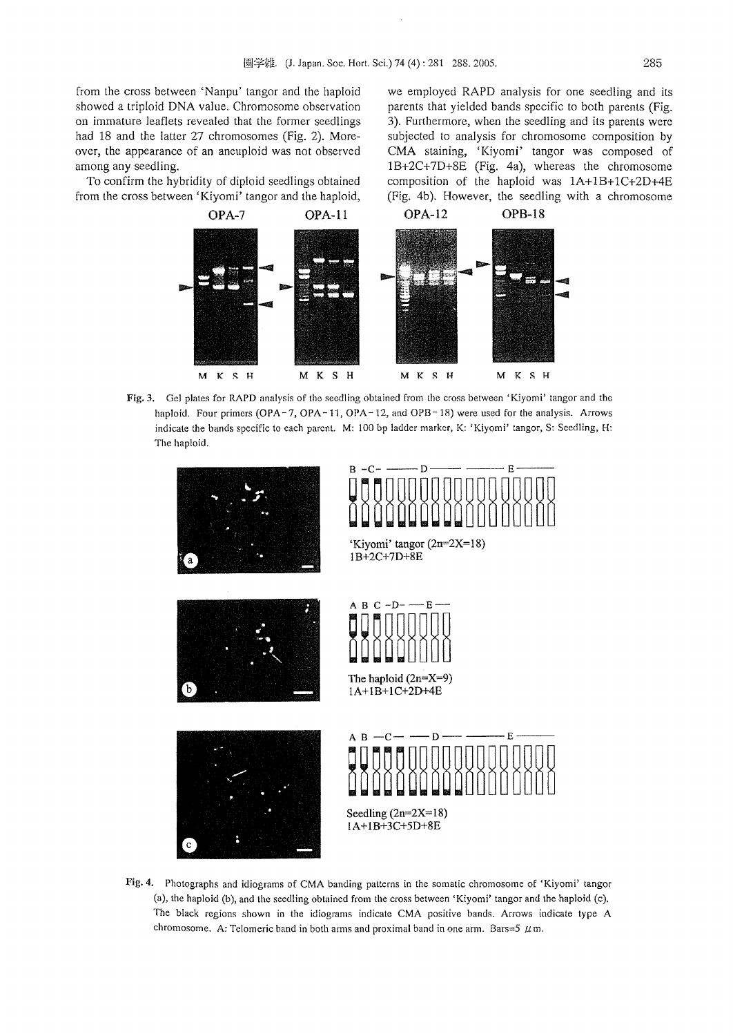from the cross between 'Nanpu' tangor and the haploid showed a triploid DNA value. Chromosome observation on immature leaflets revealed that the former seedlings had 18 and the latter 27 chromosomes (Fig. 2). Moreover, the appearance of an aneuploid was not observed among any seedling.

To confirm the hybridity of diploid seedlings obtained from the cross between' Kiyomi' tangor and the haploid, we employed RAPD analysis for one seedling and its parents that yielded bands specific to both parents (Fig. 3). Furthermore, when the seedling and its parents were subjected to analysis for chromosome composition by CMA staining, 'Kiyomi' tangor was composed of IB+2C+7D+8E (Fig. 4a), whereas the chromosome composition of the haploid was lA+lB+lC+2D+4E (Fig. 4b). However, the seedling with a chromosome



Fig. 3. Gel plates for RAPD analysis of the seedling obtained from the cross between 'Kiyomi' tangor and the haploid. Four primers (OPA-7, OPA-11, OPA-12, and OPB-18) were used for the analysis. Arrows indicate the bands specific to each parent. M: 100 bp ladder marker, K: 'Kiyomi' tangor, S: Seedling, H: The haploid.



Fig. 4. Photographs and idiograms of CMA banding patterns in the somatic chromosome of 'Kiyomi' tangor (a), the haploid (b), and the seedling obtained from the cross between 'Kiyomi' tangor and the haploid (c). The black regions shown in the idiograms indicate CMA positive bands. Arrows indicate type A chromosome. A: Telomeric band in both arms and proximal band in one arm. Bars=5  $\mu$ m.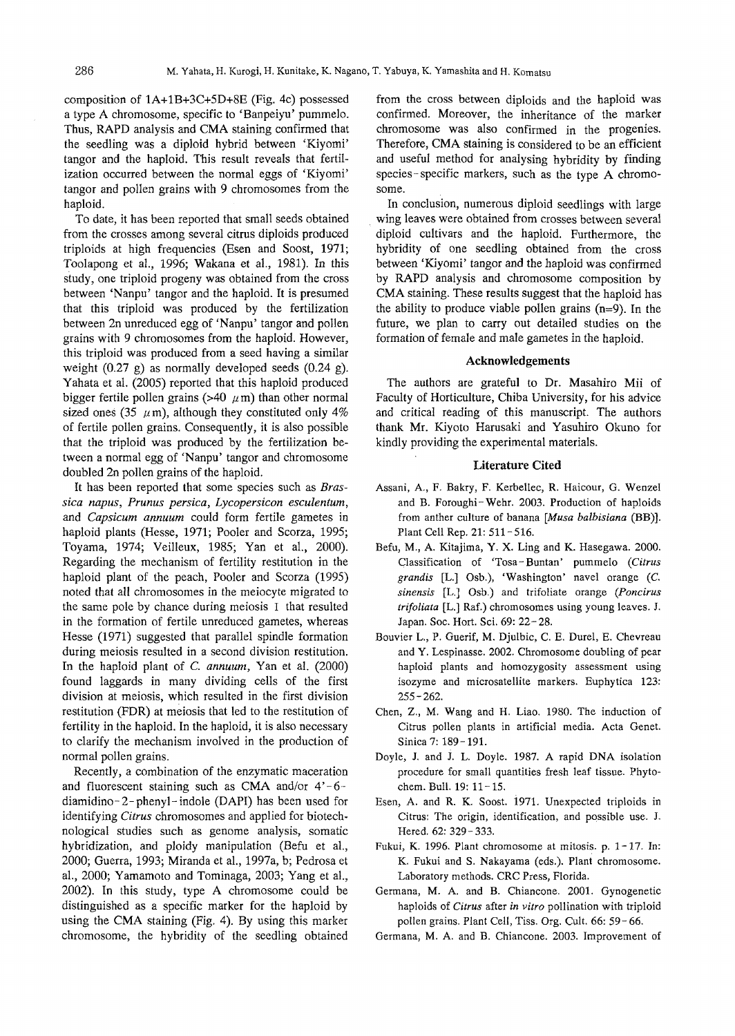composition of 1A+1B+3C+5D+8E (Fig. 4c) possessed a type A chromosome, specific to 'Banpeiyu' pummelo. Thus, RAPD analysis and CMA staining confirmed that the seedling was a diploid hybrid between 'Kiyomi' tangor and the haploid. This result reveals that fertilization occurred between the normal eggs of 'Kiyomi' tangor and pollen grains with 9 chromosomes from the haploid.

To date, it has been reported that small seeds obtained from the crosses among several citrus diploids produced triploids at high frequencies (Esen and Soost, 1971; Toolapong et aI., 1996; Wakana et aI., 1981). In this study, one triploid progeny was obtained from the cross between 'Nanpu' tangor and the haploid. It is presumed that this triploid was produced by the fertilization between 2n unreduced egg of 'Nanpu' tangor and pollen grains with 9 chromosomes from the haploid. However, this triploid was produced from a seed having a similar weight (0.27 g) as normally developed seeds (0.24 g). Yahata et a1. (2005) reported that this haploid produced bigger fertile pollen grains (>40  $\mu$ m) than other normal sized ones (35  $\mu$ m), although they constituted only 4% of fertile pollen grains. Consequently, it is also possible that the triploid was produced by the fertilization between a normal egg of 'Nanpu' tangor and chromosome doubled 2n pollen grains of the haploid.

It has been reported that some species such as *Brassica napus, Prunus persica, Lycopersicon esculentum,* and *Capsicum annuum* could form fertile gametes in haploid plants (Hesse, 1971; Pooler and Scorza, 1995; Toyama, 1974; Veilleux, 1985; Yan et aI., 2000). Regarding the mechanism of fertility restitution in the haploid plant of the peach, Pooler and Scorza (1995) noted that all chromosomes in the meiocyte migrated to the same pole by chance during meiosis I that resulted in the formation of fertile unreduced gametes, whereas Hesse (1971) suggested that parallel spindle formation during meiosis resulted in a second division restitution. In the haploid plant of C. *annuum,* Yan et aI. (2000) found laggards in many dividing cells of the first division at meiosis, which resulted in the first division restitution (FDR) at meiosis that led to the restitution of fertility in the haploid. In the haploid, it is also necessary to clarify the mechanism involved in the production of normal pollen grains.

Recently, a combination of the enzymatic maceration and fluorescent staining such as CMA and/or  $4'-6$ diamidino- 2- phenyl- indole (DAPI) has been used for identifying *Citrus* chromosomes and applied for biotechnological studies such as genome analysis, somatic hybridization, and ploidy manipulation (Befu et aI., 2000; Guerra, 1993; Miranda et aI., 1997a, b; Pedrosa et aI., 2000; Yamamoto and Tominaga, 2003; Yang et aI., 2002). In this study, type A chromosome could be distinguished as a specific marker for the haploid by using the CMA staining (Fig. 4). By using this marker chromosome, the hybridity of the seedling obtained

from the cross between diploids and the haploid was confirmed. Moreover, the inheritance of the marker chromosome was also confirmed in the progenies. Therefore, CMA staining is considered to be an efficient and useful method for analysing hybridity by finding species-specific markers, such as the type A chromosome.

In conclusion, numerous diploid seedlings with large wing leaves were obtained from crosses between several diploid cultivars and the haploid. Furthermore, the hybridity of one seedling obtained from the cross between 'Kiyomi' tangor and the haploid was confirmed by RAPD analysis and chromosome composition by CMA staining. These results suggest that the haploid has the ability to produce viable pollen grains  $(n=9)$ . In the future, we plan to carry out detailed studies on the formation of female and male gametes in the haploid.

#### Acknowledgements

The authors are grateful to Dr. Masahiro Mii of Faculty of Horticulture, Chiba University, for his advice and critical reading of this manuscript. The authors thank Mr. Kiyoto Harusaki and Yasuhiro Okuno for kindly providing the experimental materials.

#### Literature Cited

- Assani, A., F. Bakry, F. Kerbellec, R. Haicour, G. Wenzel and B. Foroughi-Wehr. 2003. Production of haploids from anther culture of banana *[Musa balbisiana* (BB)). Plant Cell Rep. 21: 511- 516.
- Befu, M., A. Kitajima, Y. X. Ling and K. Hasegawa. 2000. (lassification of 'Tosa - Buntan' pummelo *(Citrus grandis* [L.] Osb.), 'Washington' navel orange (c. *sinensis* [L.J Osb.) and trifoliate orange *(Poncirus trifoliata* [L.J Raf.) chromosomes using young leaves. J. Japan. Soc. Hort. Sci. 69: 22-28.
- Bouvier L., P. Guerif, M. Djulbic, C. E. Durel, E. Chevreau and Y. Lespinasse. 2002. Chromosome doubling of pear haploid plants and homozygosity assessment using isozyme and microsatellite markers. Euphytica 123: 255-262.
- Chen, Z., M. Wang and H. Liao. 1980. The induction of Citrus pollen plants in artificial media. Acta Genet. Sinica 7: 189-191.
- Doyle, J. and J. L. Doyle. 1987. A rapid DNA isolation procedure for small quantities fresh leaf tissue. Phytochem. Bull. 19: 11-15.
- Esen, A. and R. K. Soost. 1971. Unexpected triploids in Citrus: The origin, identification, and possible use. J. Hered. 62: 329 - 333.
- Fukui, K. 1996. Plant chromosome at mitosis. p. 1-17. In: K. Fukui and S. Nakayama (eds.). Plant chromosome. Laboratory methods. CRC Press, Florida.
- Germana, M. A. and B. Chiancone. 2001. Gynogenetic haploids of *Citrus* after *in vitro* pollination with triploid pollen grains. Plant Cell, Tiss. Org. Cult. 66: 59 - 66.
- Germana, M. A. and B. Chiancone. 2003. Improvement of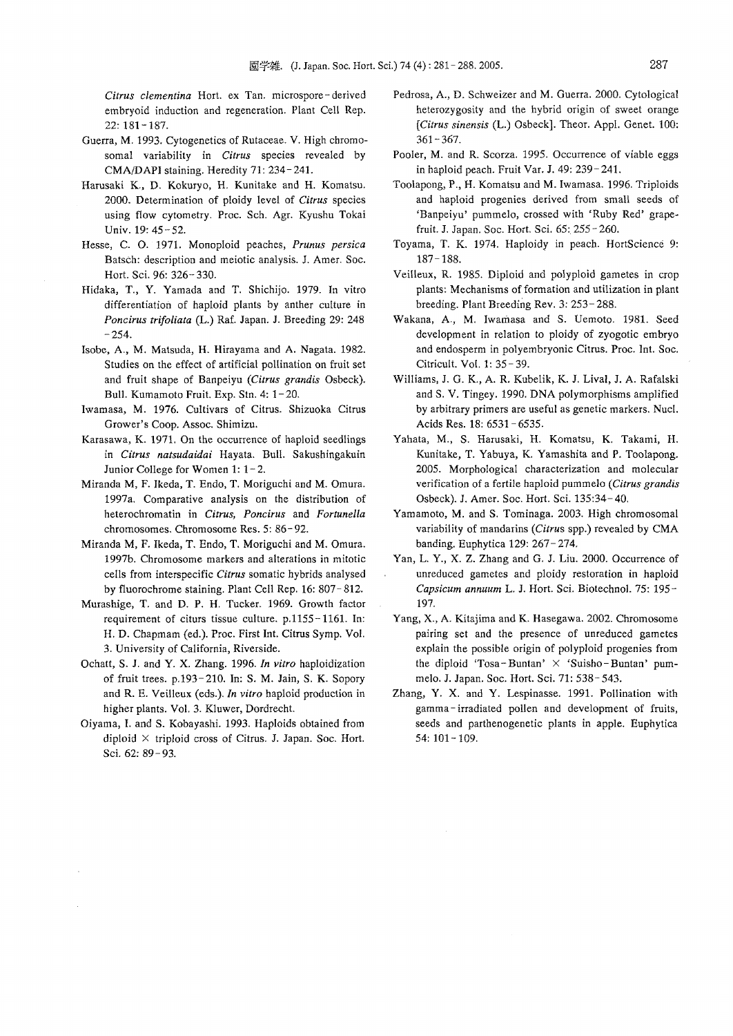*Citrus clementina* Hort. ex Tan. microspore - derived embryoid induction and regeneration. Plant Cell Rep. 22: 181-187.

- Guerra, M. 1993. Cytogenetics of Rutaceae. V. High chromosomal variability in *Citrus* species revealed by CMA/DAPI staining. Heredity 71: 234-241.
- Harusaki K., D. Kokuryo, H. Kunitake and H. Komatsu. *2000.* Determination of ploidy level of *Citrus* species using flow cytometry. Proc. Sch. Agr. Kyushu Tokai Univ. 19: 45 - 52.
- Hesse, C. O. 1971. Monoploid peaches, *Prunus persica* Batsch: description and meiotic analysis. J. Amer. Soc. Hort. Sci. 96: 326- *330.*
- Hidaka, T., Y. Yamada and T. Shichijo. 1979. In vitro differentiation of haploid plants by anther culture in *Poncirus trifoliata* (L.) Raf. Japan. J. Breeding 29: 248  $-254.$
- Isobe, A., M. Matsuda, H. Hirayama and A. Nagata. 1982. Studies on the effect of artificial pollination on fruit set and fruit shape of Banpeiyu *(Citrus grandis* Osbeck). Bull. Kumamoto Fruit. Exp. Stn. 4: 1-20.
- Iwamasa, M. 1976. Cultivars of Citrus. Shizuoka Citrus Grower's Coop. Assoc. Shimizu.
- Karasawa, K. 1971. On the occurrence of haploid seedlings in *Citrus natsudaidai* Hayata. Bull. Sakushingakuin Junior College for Women 1: 1- 2.
- Miranda M, F. Ikeda, T. Endo, T. Moriguchi and M. Omura. 1997a. Comparative analysis on the distribution of heterochromatin in *Citrus, Poncirus* and *Fortunella* chromosomes. Chromosome Res. 5: 86-92.
- Miranda M, F. Ikeda, T. Endo, T. Moriguchi and M. Omura. 1997b. Chromosome markers and alterations in mitotic cells from interspecific *Citrus* somatic hybrids analysed by fluorochrome staining. Plant Cell Rep. 16: 807-812.
- Murashige, T. and D. P. H. Tucker. 1969. Growth factor requirement of citurs tissue culture. p.1155-1161. In: H. D. Chapmam (ed.). Proc. First Int. Citrus Symp. Vo!. 3. University of California, Riverside.
- Ochatt, S. J. and Y. X. Zhang. 1996. *In vitro* haploidization of fruit trees. p.193-210. In: S. M. Jain, S. K. Sopory and R. E. Veilleux (eds.).In *vitro* haploid production in higher plants. Vol. 3. Kluwer, Dordrecht.
- Oiyama, I. and S. Kobayashi. 1993. Haploids obtained from diploid  $\times$  triploid cross of Citrus. J. Japan. Soc. Hort. Sci. 62: 89- 93.
- Pedrosa, A., D. Schweizer and M. Guerra. 2000. Cytological heterozygosity and the hybrid origin of sweet orange *(Citrus sinensis* (L.) Osbeck]. Theor. App!. Genet. 100: 361-367.
- Pooler, M. and R. Scorza. 1995. Occurrence of viable eggs in haploid peach. Fruit Var. J. 49: 239-241.
- Toolapong, P., H. Komatsu and M. Iwamasa. 1996. Triploids and haploid progenies derived from small seeds of 'Banpeiyu' pummelo, crossed with 'Ruby Red' grapefruit. J. Japan. Soc. Hort. Sci. 65: 255 - 260.
- Toyama, T. K. 1974. Haploidy in peach. HortScience 9: 187-188.
- Veilleux, R. 1985. Diploid and polyploid gametes in crop plants: Mechanisms of formation and utilization in plant breeding. Plant Breeding Rev. 3: 253- 288.
- Wakana, A., M. Iwamasa and S. Uemoto. 1981. Seed development in relation to ploidy of zyogotic embryo and endosperm in polyembryonic Citrus. Proc. Int. Soc. Citricult. Vol. 1: 35-39.
- Williams, J. G. K., A. R. Kubelik, K. J. Lival, J. A. Rafalski and S. V. Tingey. 1990. DNA polymorphisms amplified by arbitrary primers arc useful as genetic markers. Nucl. Acids Res. 18: 6531- 6535.
- Yahata, M., S. Harusaki, H. Komatsu, K. Takami, H. Kunitake, T. Yabuya, K. Yamashita and P. Toolapong. 2005. Morphological characterization and molecular verification of a fertile haploid pummelo *(Citrus grandis* Osbeck). J. Amer. Soc. Hort. Sci. 135:34-40.
- Yamamoto, M. and S. Tominaga. 2003. High chromosomal variability of mandarins *(Citrus* spp.) revealed by CMA banding. Euphytica 129: 267- 274.
- Yan, L. Y., X. Z. Zhang and G. J. Liu. 2000. Occurrence of unreduced gametes and ploidy restoration in haploid *Capsicum annuum* L. J. Hort. Sci. Biotechno!. 75: 195- 197.
- Yang, X., A. Kitajima and K. Hasegawa. 2002. Chromosome pairing set and the presence of unreduced gametes explain the possible origin of polyploid progenies from the diploid 'Tosa-Buntan'  $\times$  'Suisho-Buntan' pummelo. J. Japan. Soc. Hort. Sci. 71: 538- 543.
- Zhang, Y. X. and Y. Lespinasse. 1991. Pollination with gamma - irradiated pollen and development of fruits, seeds and parthenogenetic plants in apple. Euphytica 54: 101-109.